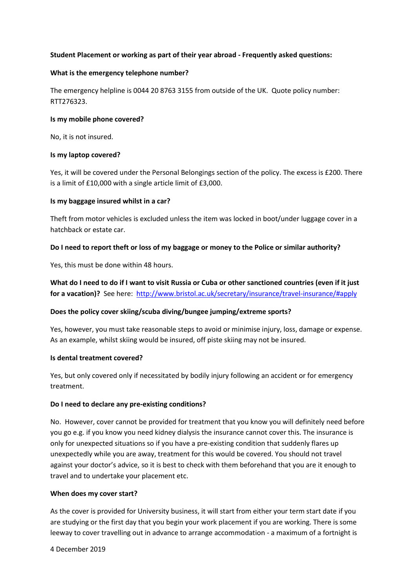# **Student Placement or working as part of their year abroad - Frequently asked questions:**

#### **What is the emergency telephone number?**

The emergency helpline is 0044 20 8763 3155 from outside of the UK. Quote policy number: RTT276323.

#### **Is my mobile phone covered?**

No, it is not insured.

#### **Is my laptop covered?**

Yes, it will be covered under the Personal Belongings section of the policy. The excess is £200. There is a limit of £10,000 with a single article limit of £3,000.

#### **Is my baggage insured whilst in a car?**

Theft from motor vehicles is excluded unless the item was locked in boot/under luggage cover in a hatchback or estate car.

## **Do I need to report theft or loss of my baggage or money to the Police or similar authority?**

Yes, this must be done within 48 hours.

**What do I need to do if I want to visit Russia or Cuba or other sanctioned countries (even if it just**  for a vacation)? See here: <http://www.bristol.ac.uk/secretary/insurance/travel-insurance/#apply>

## **Does the policy cover skiing/scuba diving/bungee jumping/extreme sports?**

Yes, however, you must take reasonable steps to avoid or minimise injury, loss, damage or expense. As an example, whilst skiing would be insured, off piste skiing may not be insured.

## **Is dental treatment covered?**

Yes, but only covered only if necessitated by bodily injury following an accident or for emergency treatment.

## **Do I need to declare any pre-existing conditions?**

No. However, cover cannot be provided for treatment that you know you will definitely need before you go e.g. if you know you need kidney dialysis the insurance cannot cover this. The insurance is only for unexpected situations so if you have a pre-existing condition that suddenly flares up unexpectedly while you are away, treatment for this would be covered. You should not travel against your doctor's advice, so it is best to check with them beforehand that you are it enough to travel and to undertake your placement etc.

#### **When does my cover start?**

As the cover is provided for University business, it will start from either your term start date if you are studying or the first day that you begin your work placement if you are working. There is some leeway to cover travelling out in advance to arrange accommodation - a maximum of a fortnight is

4 December 2019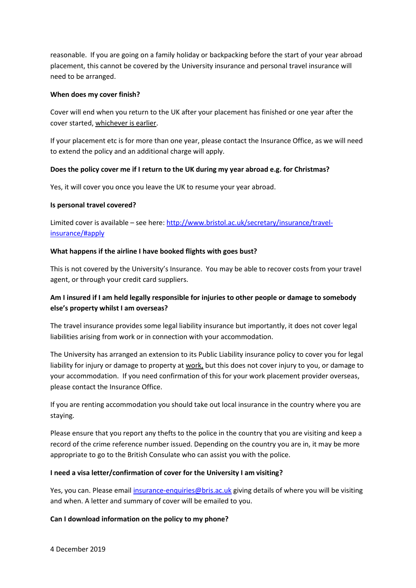reasonable. If you are going on a family holiday or backpacking before the start of your year abroad placement, this cannot be covered by the University insurance and personal travel insurance will need to be arranged.

## **When does my cover finish?**

Cover will end when you return to the UK after your placement has finished or one year after the cover started, whichever is earlier.

If your placement etc is for more than one year, please contact the Insurance Office, as we will need to extend the policy and an additional charge will apply.

# **Does the policy cover me if I return to the UK during my year abroad e.g. for Christmas?**

Yes, it will cover you once you leave the UK to resume your year abroad.

# **Is personal travel covered?**

Limited cover is available – see here: [http://www.bristol.ac.uk/secretary/insurance/travel](http://www.bristol.ac.uk/secretary/insurance/travel-insurance/#apply)[insurance/#apply](http://www.bristol.ac.uk/secretary/insurance/travel-insurance/#apply)

# **What happens if the airline I have booked flights with goes bust?**

This is not covered by the University's Insurance. You may be able to recover costs from your travel agent, or through your credit card suppliers.

# **Am I insured if I am held legally responsible for injuries to other people or damage to somebody else's property whilst I am overseas?**

The travel insurance provides some legal liability insurance but importantly, it does not cover legal liabilities arising from work or in connection with your accommodation.

The University has arranged an extension to its Public Liability insurance policy to cover you for legal liability for injury or damage to property at work, but this does not cover injury to you, or damage to your accommodation. If you need confirmation of this for your work placement provider overseas, please contact the Insurance Office.

If you are renting accommodation you should take out local insurance in the country where you are staying.

Please ensure that you report any thefts to the police in the country that you are visiting and keep a record of the crime reference number issued. Depending on the country you are in, it may be more appropriate to go to the British Consulate who can assist you with the police.

# **I need a visa letter/confirmation of cover for the University I am visiting?**

Yes, you can. Please emai[l insurance-enquiries@bris.ac.uk](mailto:insurance-enquiries@bris.ac.uk) giving details of where you will be visiting and when. A letter and summary of cover will be emailed to you.

# **Can I download information on the policy to my phone?**